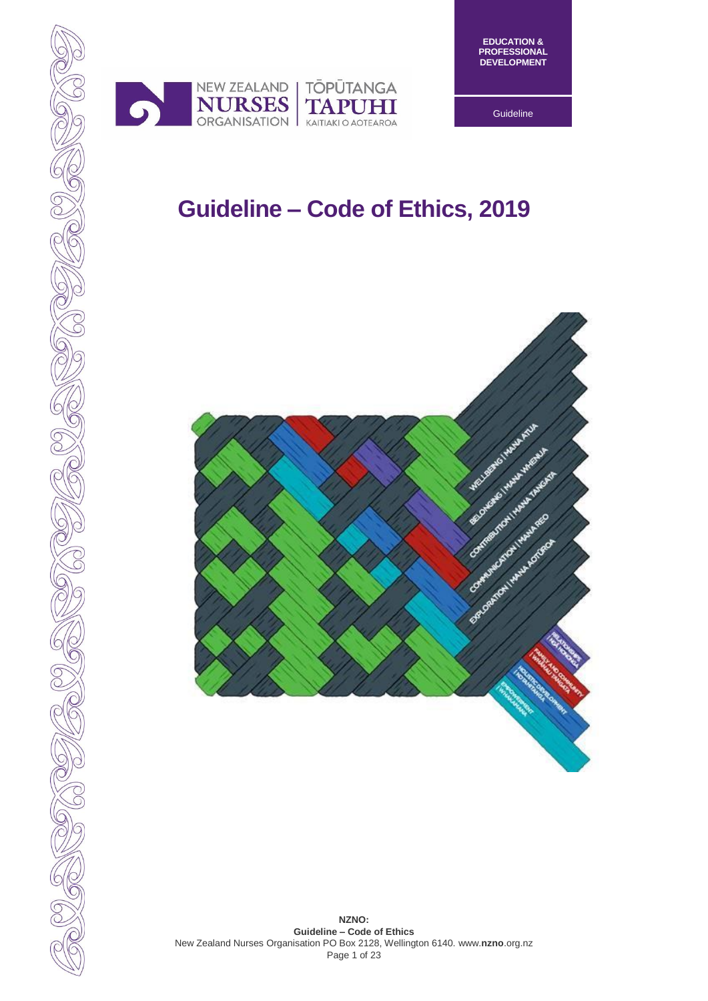



**Guideline** 

# **Guideline – Code of Ethics, 2019**

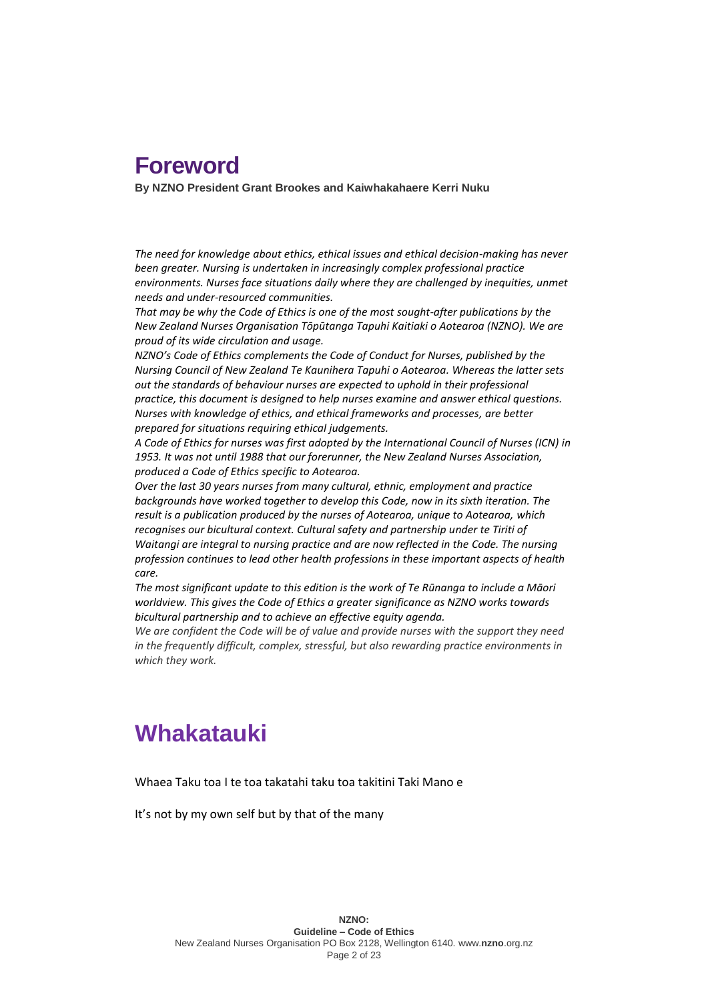## **Foreword**

**By NZNO President Grant Brookes and Kaiwhakahaere Kerri Nuku**

*The need for knowledge about ethics, ethical issues and ethical decision-making has never been greater. Nursing is undertaken in increasingly complex professional practice*  environments. Nurses face situations daily where they are challenged by inequities, unmet *needs and under-resourced communities.* 

*That may be why the Code of Ethics is one of the most sought-after publications by the New Zealand Nurses Organisation Tōpūtanga Tapuhi Kaitiaki o Aotearoa (NZNO). We are proud of its wide circulation and usage.* 

*NZNO's Code of Ethics complements the Code of Conduct for Nurses, published by the Nursing Council of New Zealand Te Kaunihera Tapuhi o Aotearoa. Whereas the latter sets out the standards of behaviour nurses are expected to uphold in their professional practice, this document is designed to help nurses examine and answer ethical questions. Nurses with knowledge of ethics, and ethical frameworks and processes, are better prepared for situations requiring ethical judgements.*

*A Code of Ethics for nurses was first adopted by the International Council of Nurses (ICN) in 1953. It was not until 1988 that our forerunner, the New Zealand Nurses Association, produced a Code of Ethics specific to Aotearoa.* 

*Over the last 30 years nurses from many cultural, ethnic, employment and practice backgrounds have worked together to develop this Code, now in its sixth iteration. The result is a publication produced by the nurses of Aotearoa, unique to Aotearoa, which recognises our bicultural context. Cultural safety and partnership under te Tiriti of Waitangi are integral to nursing practice and are now reflected in the Code. The nursing profession continues to lead other health professions in these important aspects of health care.*

*The most significant update to this edition is the work of Te Rūnanga to include a Māori worldview. This gives the Code of Ethics a greater significance as NZNO works towards bicultural partnership and to achieve an effective equity agenda.*

*We are confident the Code will be of value and provide nurses with the support they need in the frequently difficult, complex, stressful, but also rewarding practice environments in which they work.*

## **Whakatauki**

Whaea Taku toa I te toa takatahi taku toa takitini Taki Mano e

It's not by my own self but by that of the many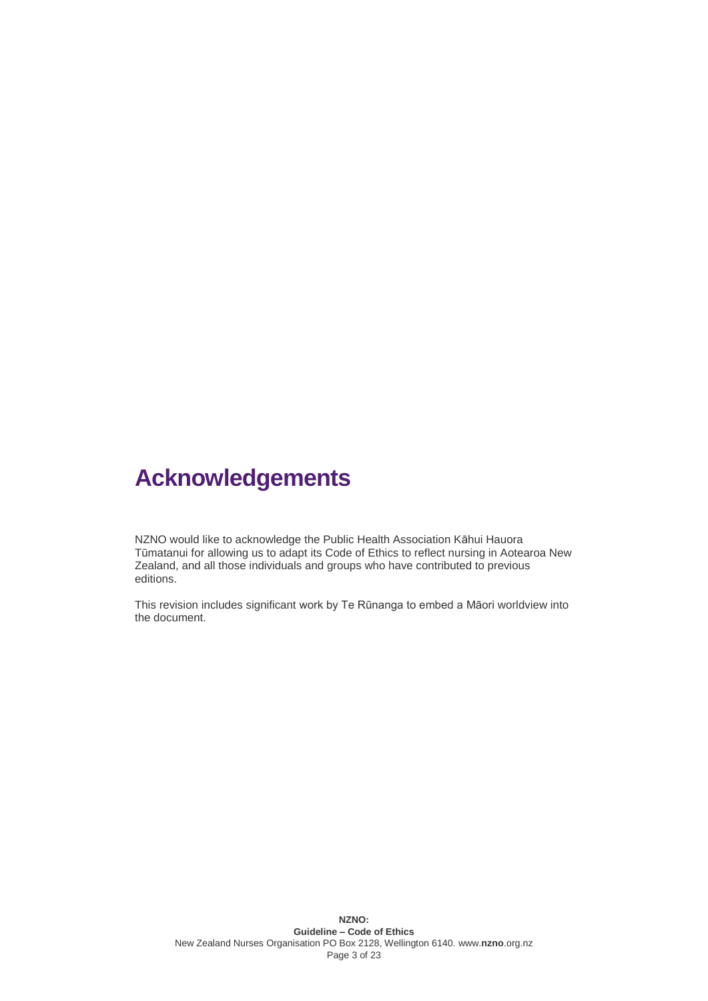# **Acknowledgements**

NZNO would like to acknowledge the Public Health Association Kāhui Hauora Tūmatanui for allowing us to adapt its Code of Ethics to reflect nursing in Aotearoa New Zealand, and all those individuals and groups who have contributed to previous editions.

This revision includes significant work by Te Rūnanga to embed a Māori worldview into the document.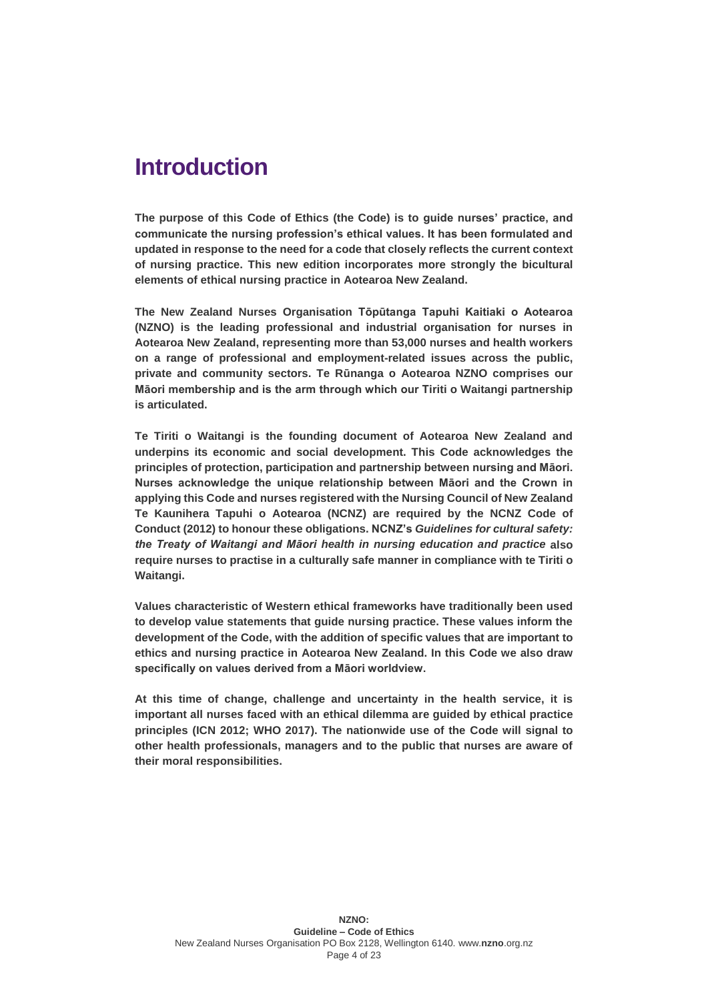## **Introduction**

**The purpose of this Code of Ethics (the Code) is to guide nurses' practice, and communicate the nursing profession's ethical values. It has been formulated and updated in response to the need for a code that closely reflects the current context of nursing practice. This new edition incorporates more strongly the bicultural elements of ethical nursing practice in Aotearoa New Zealand.** 

**The New Zealand Nurses Organisation Tōpūtanga Tapuhi Kaitiaki o Aotearoa (NZNO) is the leading professional and industrial organisation for nurses in Aotearoa New Zealand, representing more than 53,000 nurses and health workers on a range of professional and employment-related issues across the public, private and community sectors. Te Rūnanga o Aotearoa NZNO comprises our Māori membership and is the arm through which our Tiriti o Waitangi partnership is articulated.**

**Te Tiriti o Waitangi is the founding document of Aotearoa New Zealand and underpins its economic and social development. This Code acknowledges the principles of protection, participation and partnership between nursing and Māori. Nurses acknowledge the unique relationship between Māori and the Crown in applying this Code and nurses registered with the Nursing Council of New Zealand Te Kaunihera Tapuhi o Aotearoa (NCNZ) are required by the NCNZ Code of Conduct (2012) to honour these obligations. NCNZ's** *Guidelines for cultural safety: the Treaty of Waitangi and Māori health in nursing education and practice* **also require nurses to practise in a culturally safe manner in compliance with te Tiriti o Waitangi.**

**Values characteristic of Western ethical frameworks have traditionally been used to develop value statements that guide nursing practice. These values inform the development of the Code, with the addition of specific values that are important to ethics and nursing practice in Aotearoa New Zealand. In this Code we also draw specifically on values derived from a Māori worldview.**

**At this time of change, challenge and uncertainty in the health service, it is important all nurses faced with an ethical dilemma are guided by ethical practice principles (ICN 2012; WHO 2017). The nationwide use of the Code will signal to other health professionals, managers and to the public that nurses are aware of their moral responsibilities.**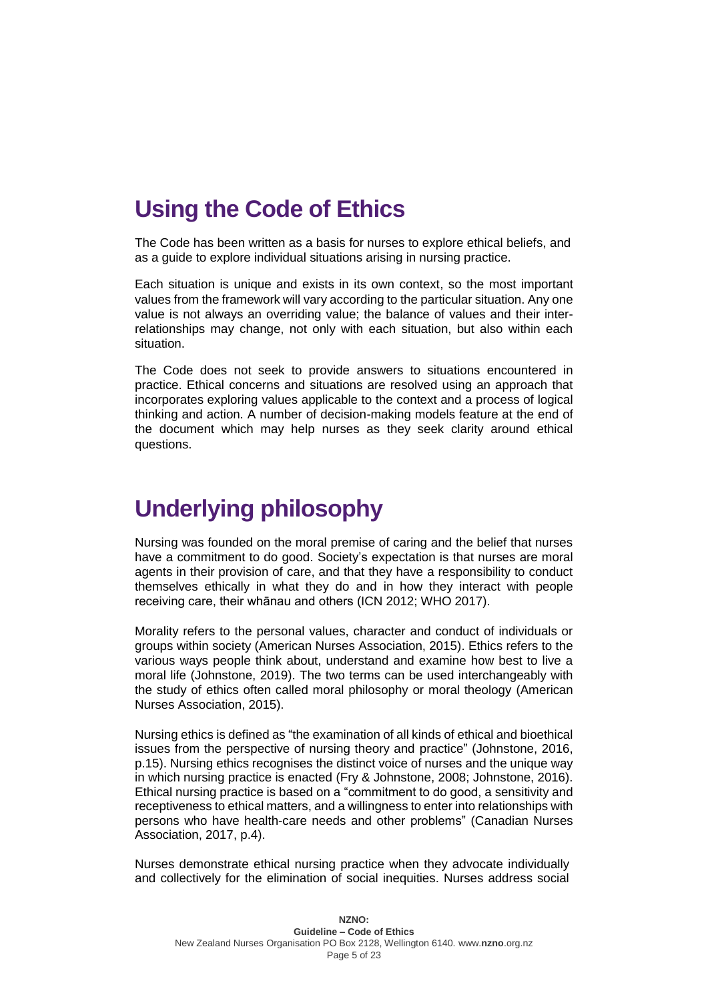# **Using the Code of Ethics**

The Code has been written as a basis for nurses to explore ethical beliefs, and as a guide to explore individual situations arising in nursing practice.

Each situation is unique and exists in its own context, so the most important values from the framework will vary according to the particular situation. Any one value is not always an overriding value; the balance of values and their interrelationships may change, not only with each situation, but also within each situation.

The Code does not seek to provide answers to situations encountered in practice. Ethical concerns and situations are resolved using an approach that incorporates exploring values applicable to the context and a process of logical thinking and action. A number of decision-making models feature at the end of the document which may help nurses as they seek clarity around ethical questions.

# **Underlying philosophy**

Nursing was founded on the moral premise of caring and the belief that nurses have a commitment to do good. Society's expectation is that nurses are moral agents in their provision of care, and that they have a responsibility to conduct themselves ethically in what they do and in how they interact with people receiving care, their whānau and others (ICN 2012; WHO 2017).

Morality refers to the personal values, character and conduct of individuals or groups within society (American Nurses Association, 2015). Ethics refers to the various ways people think about, understand and examine how best to live a moral life (Johnstone, 2019). The two terms can be used interchangeably with the study of ethics often called moral philosophy or moral theology (American Nurses Association, 2015).

Nursing ethics is defined as "the examination of all kinds of ethical and bioethical issues from the perspective of nursing theory and practice" (Johnstone, 2016, p.15). Nursing ethics recognises the distinct voice of nurses and the unique way in which nursing practice is enacted (Fry & Johnstone, 2008; Johnstone, 2016). Ethical nursing practice is based on a "commitment to do good, a sensitivity and receptiveness to ethical matters, and a willingness to enter into relationships with persons who have health-care needs and other problems" (Canadian Nurses Association, 2017, p.4).

Nurses demonstrate ethical nursing practice when they advocate individually and collectively for the elimination of social inequities. Nurses address social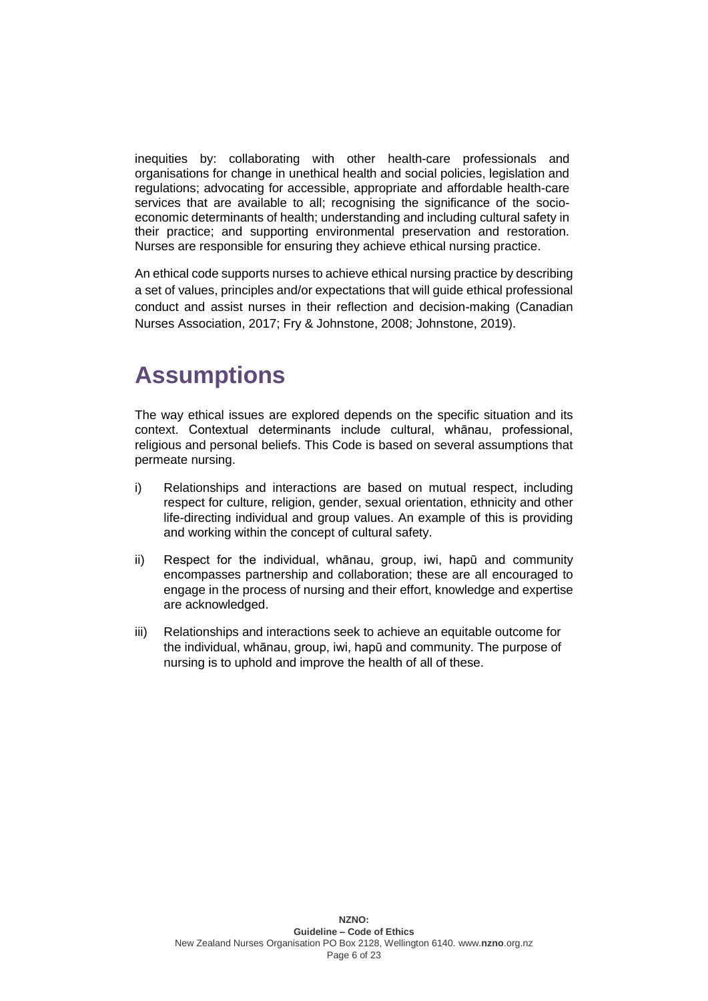inequities by: collaborating with other health-care professionals and organisations for change in unethical health and social policies, legislation and regulations; advocating for accessible, appropriate and affordable health-care services that are available to all; recognising the significance of the socioeconomic determinants of health; understanding and including cultural safety in their practice; and supporting environmental preservation and restoration. Nurses are responsible for ensuring they achieve ethical nursing practice.

An ethical code supports nurses to achieve ethical nursing practice by describing a set of values, principles and/or expectations that will guide ethical professional conduct and assist nurses in their reflection and decision-making (Canadian Nurses Association, 2017; Fry & Johnstone, 2008; Johnstone, 2019).

# **Assumptions**

The way ethical issues are explored depends on the specific situation and its context. Contextual determinants include cultural, whānau, professional, religious and personal beliefs. This Code is based on several assumptions that permeate nursing.

- i) Relationships and interactions are based on mutual respect, including respect for culture, religion, gender, sexual orientation, ethnicity and other life-directing individual and group values. An example of this is providing and working within the concept of cultural safety.
- ii) Respect for the individual, whānau, group, iwi, hapū and community encompasses partnership and collaboration; these are all encouraged to engage in the process of nursing and their effort, knowledge and expertise are acknowledged.
- iii) Relationships and interactions seek to achieve an equitable outcome for the individual, whānau, group, iwi, hapū and community. The purpose of nursing is to uphold and improve the health of all of these.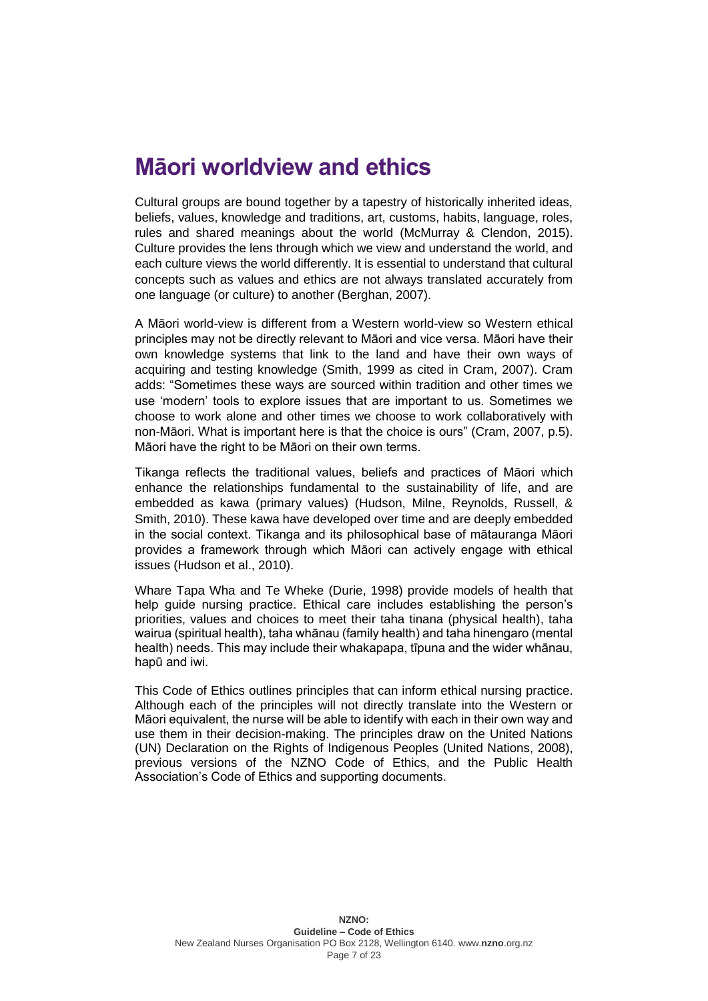## **Māori worldview and ethics**

Cultural groups are bound together by a tapestry of historically inherited ideas, beliefs, values, knowledge and traditions, art, customs, habits, language, roles, rules and shared meanings about the world (McMurray & Clendon, 2015). Culture provides the lens through which we view and understand the world, and each culture views the world differently. It is essential to understand that cultural concepts such as values and ethics are not always translated accurately from one language (or culture) to another (Berghan, 2007).

A Māori world-view is different from a Western world-view so Western ethical principles may not be directly relevant to Māori and vice versa. Māori have their own knowledge systems that link to the land and have their own ways of acquiring and testing knowledge (Smith, 1999 as cited in Cram, 2007). Cram adds: "Sometimes these ways are sourced within tradition and other times we use 'modern' tools to explore issues that are important to us. Sometimes we choose to work alone and other times we choose to work collaboratively with non-Māori. What is important here is that the choice is ours" (Cram, 2007, p.5). Māori have the right to be Māori on their own terms.

Tikanga reflects the traditional values, beliefs and practices of Māori which enhance the relationships fundamental to the sustainability of life, and are embedded as kawa (primary values) (Hudson, Milne, Reynolds, Russell, & Smith, 2010). These kawa have developed over time and are deeply embedded in the social context. Tikanga and its philosophical base of mātauranga Māori provides a framework through which Māori can actively engage with ethical issues (Hudson et al., 2010).

Whare Tapa Wha and Te Wheke (Durie, 1998) provide models of health that help guide nursing practice. Ethical care includes establishing the person's priorities, values and choices to meet their taha tinana (physical health), taha wairua (spiritual health), taha whānau (family health) and taha hinengaro (mental health) needs. This may include their whakapapa, tīpuna and the wider whānau, hapū and iwi.

This Code of Ethics outlines principles that can inform ethical nursing practice. Although each of the principles will not directly translate into the Western or Māori equivalent, the nurse will be able to identify with each in their own way and use them in their decision-making. The principles draw on the United Nations (UN) Declaration on the Rights of Indigenous Peoples (United Nations, 2008), previous versions of the NZNO Code of Ethics, and the Public Health Association's Code of Ethics and supporting documents.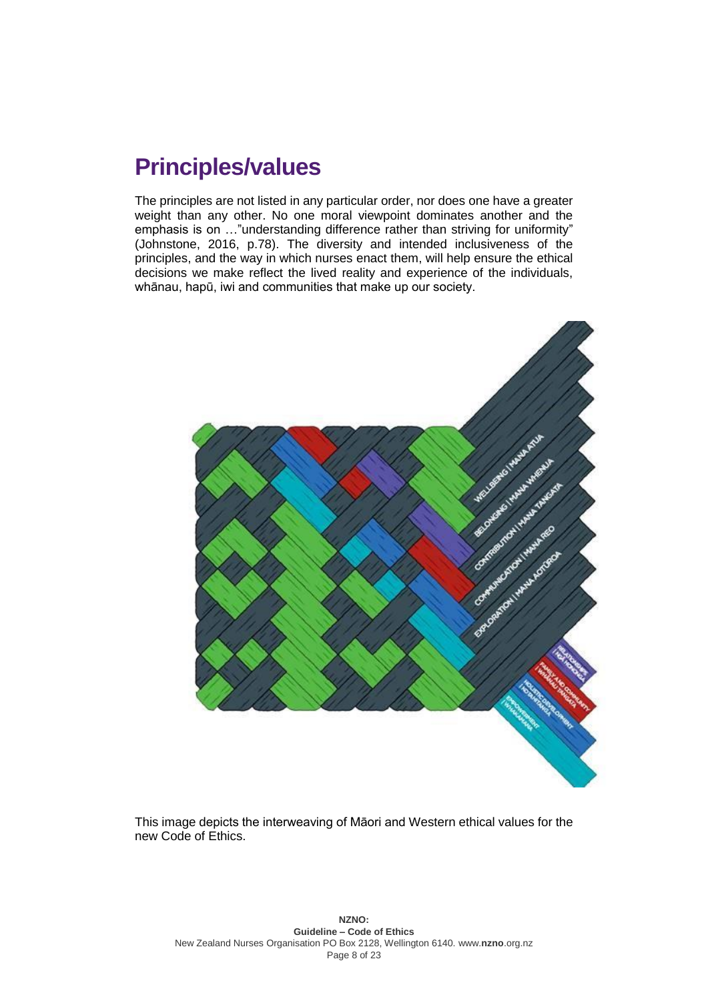# **Principles/values**

The principles are not listed in any particular order, nor does one have a greater weight than any other. No one moral viewpoint dominates another and the emphasis is on …"understanding difference rather than striving for uniformity" (Johnstone, 2016, p.78). The diversity and intended inclusiveness of the principles, and the way in which nurses enact them, will help ensure the ethical decisions we make reflect the lived reality and experience of the individuals, whānau, hapū, iwi and communities that make up our society.



This image depicts the interweaving of Māori and Western ethical values for the new Code of Ethics.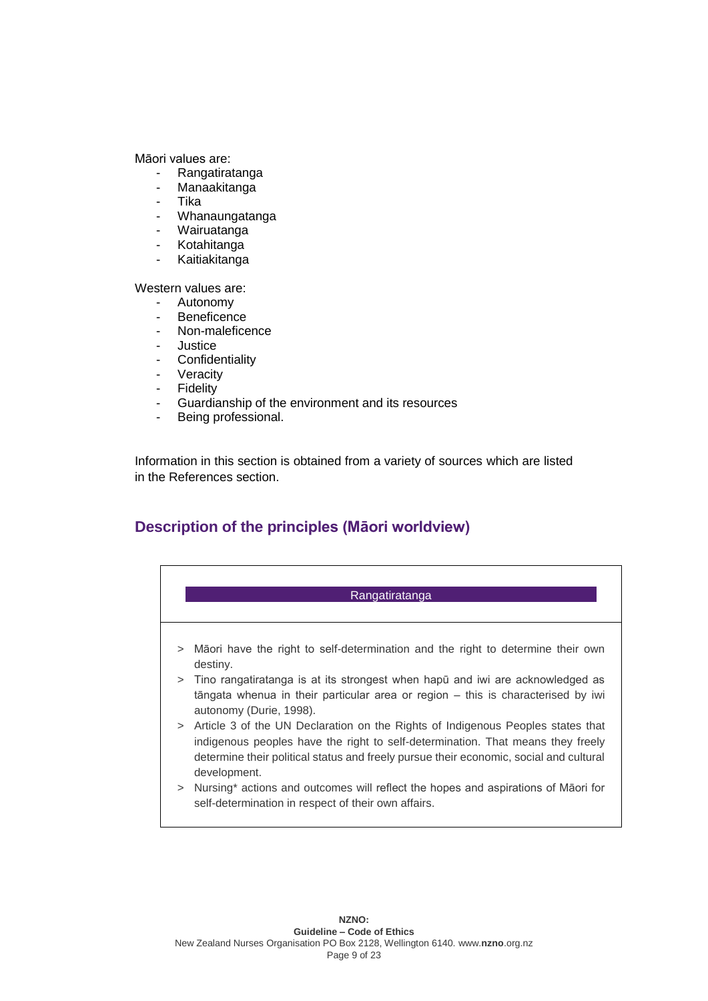Māori values are:

- Rangatiratanga
- Manaakitanga
- Tika
- Whanaungatanga
- Wairuatanga
- Kotahitanga
- Kaitiakitanga

Western values are:

- Autonomy
- **Beneficence**
- Non-maleficence
- **Justice**
- Confidentiality
- Veracity
- Fidelity
- Guardianship of the environment and its resources
- Being professional.

Information in this section is obtained from a variety of sources which are listed in the References section.

## **Description of the principles (Māori worldview)**

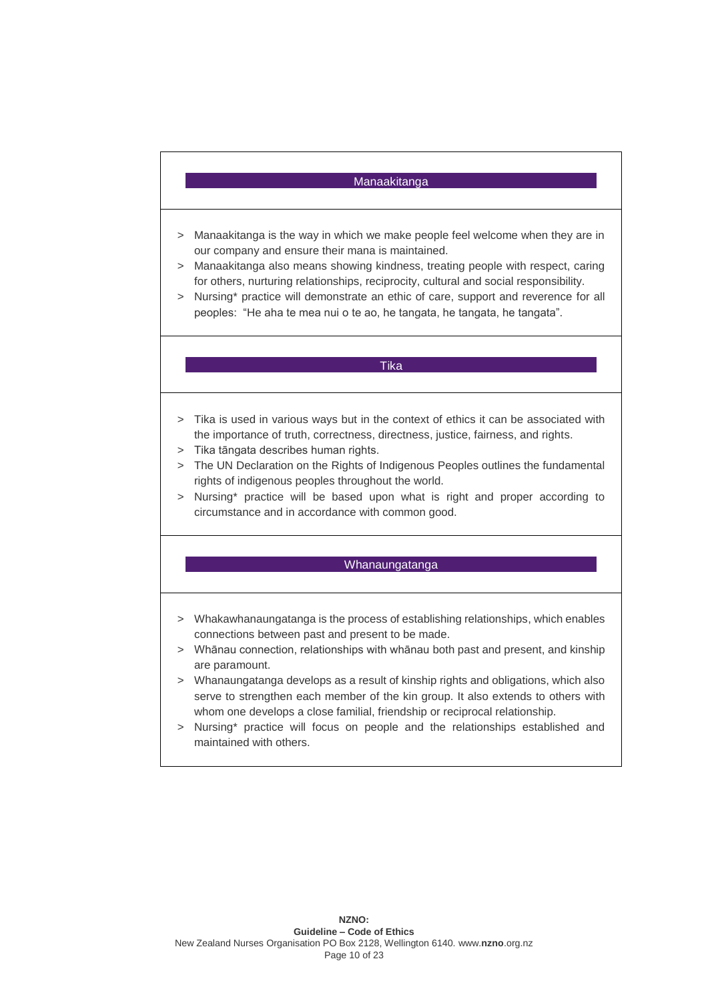## **Manaakitanga**

- > Manaakitanga is the way in which we make people feel welcome when they are in our company and ensure their mana is maintained.
- > Manaakitanga also means showing kindness, treating people with respect, caring for others, nurturing relationships, reciprocity, cultural and social responsibility.
- > Nursing\* practice will demonstrate an ethic of care, support and reverence for all peoples: "He aha te mea nui o te ao, he tangata, he tangata, he tangata".

#### Tika

- > Tika is used in various ways but in the context of ethics it can be associated with the importance of truth, correctness, directness, justice, fairness, and rights.
- > Tika tāngata describes human rights.
- > The UN Declaration on the Rights of Indigenous Peoples outlines the fundamental rights of indigenous peoples throughout the world.
- > Nursing\* practice will be based upon what is right and proper according to circumstance and in accordance with common good.

#### Whanaungatanga

- > Whakawhanaungatanga is the process of establishing relationships, which enables connections between past and present to be made.
- > Whānau connection, relationships with whānau both past and present, and kinship are paramount.
- > Whanaungatanga develops as a result of kinship rights and obligations, which also serve to strengthen each member of the kin group. It also extends to others with whom one develops a close familial, friendship or reciprocal relationship.
- > Nursing\* practice will focus on people and the relationships established and maintained with others.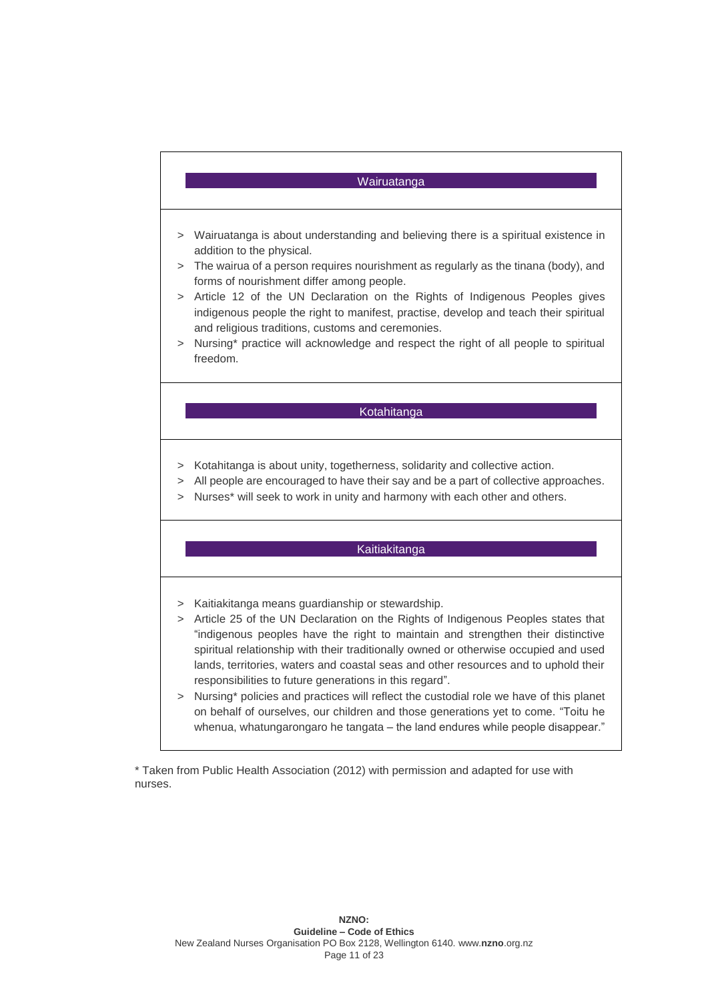

> Nursing\* policies and practices will reflect the custodial role we have of this planet on behalf of ourselves, our children and those generations yet to come. "Toitu he whenua, whatungarongaro he tangata – the land endures while people disappear."

\* Taken from Public Health Association (2012) with permission and adapted for use with nurses.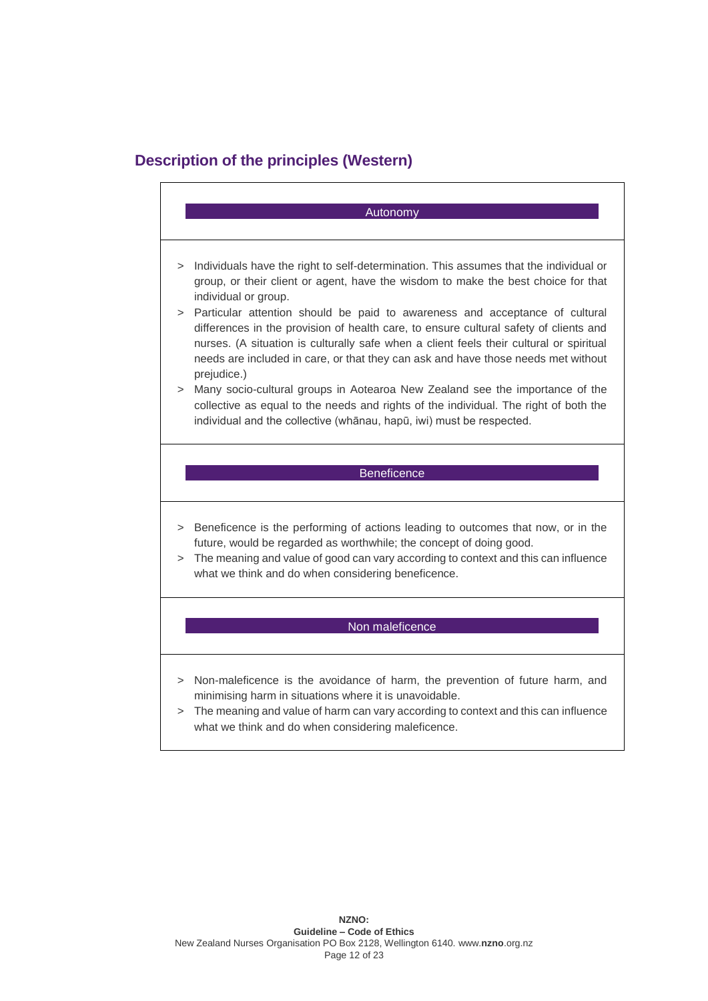## **Description of the principles (Western)**

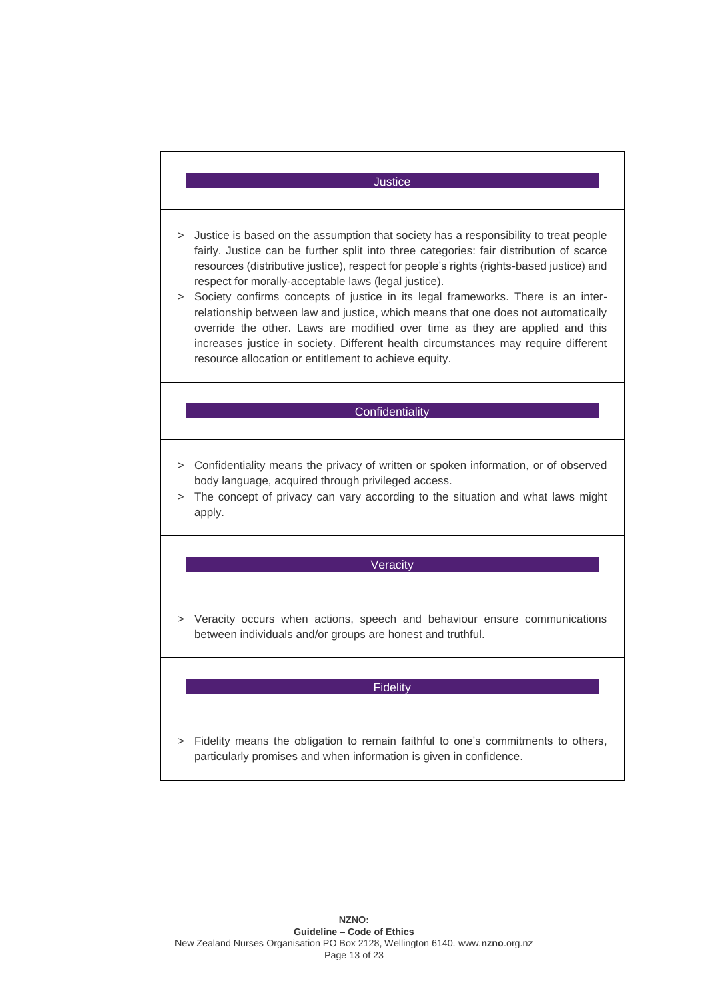## Justice

- > Justice is based on the assumption that society has a responsibility to treat people fairly. Justice can be further split into three categories: fair distribution of scarce resources (distributive justice), respect for people's rights (rights-based justice) and respect for morally-acceptable laws (legal justice).
- > Society confirms concepts of justice in its legal frameworks. There is an interrelationship between law and justice, which means that one does not automatically override the other. Laws are modified over time as they are applied and this increases justice in society. Different health circumstances may require different resource allocation or entitlement to achieve equity.

## **Confidentiality**

- > Confidentiality means the privacy of written or spoken information, or of observed body language, acquired through privileged access.
- > The concept of privacy can vary according to the situation and what laws might apply.

## **Veracity**

> Veracity occurs when actions, speech and behaviour ensure communications between individuals and/or groups are honest and truthful.

### **Fidelity**

> Fidelity means the obligation to remain faithful to one's commitments to others, particularly promises and when information is given in confidence.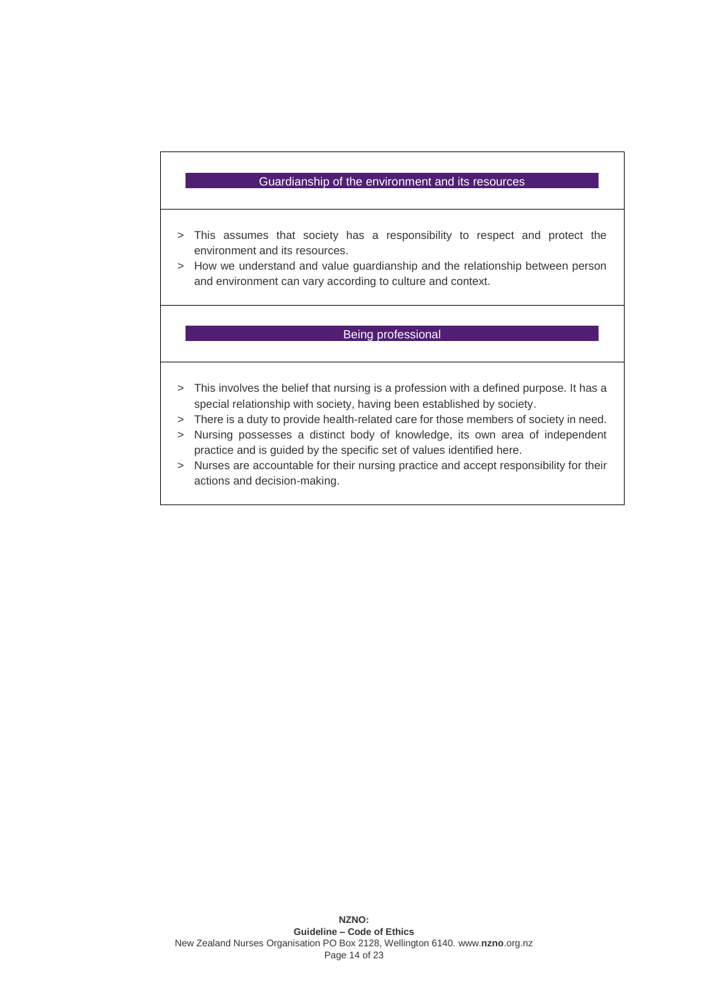## Guardianship of the environment and its resources

- > This assumes that society has a responsibility to respect and protect the environment and its resources.
- > How we understand and value guardianship and the relationship between person and environment can vary according to culture and context.

### Being professional

- > This involves the belief that nursing is a profession with a defined purpose. It has a special relationship with society, having been established by society.
- > There is a duty to provide health-related care for those members of society in need.
- > Nursing possesses a distinct body of knowledge, its own area of independent practice and is guided by the specific set of values identified here.
- > Nurses are accountable for their nursing practice and accept responsibility for their actions and decision-making.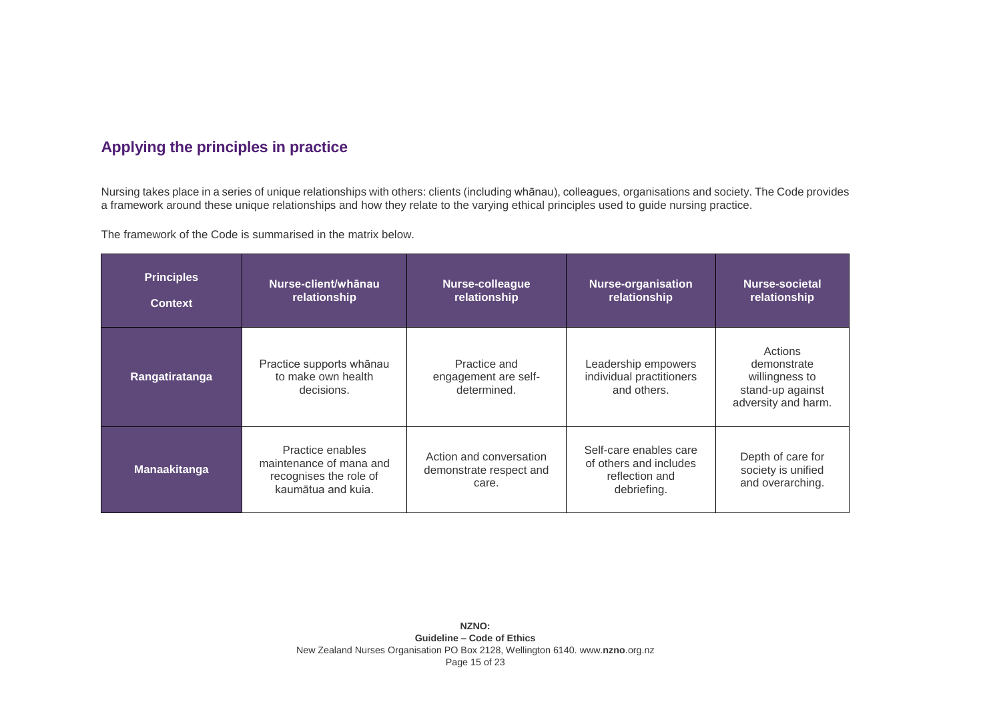## **Applying the principles in practice**

Nursing takes place in a series of unique relationships with others: clients (including whānau), colleagues, organisations and society. The Code provides a framework around these unique relationships and how they relate to the varying ethical principles used to guide nursing practice.

The framework of the Code is summarised in the matrix below.

| <b>Principles</b><br><b>Context</b> | Nurse-client/whānau<br>relationship                                                         | Nurse-colleague<br>relationship                             | <b>Nurse-organisation</b><br>relationship                                         | Nurse-societal<br>relationship                                                      |
|-------------------------------------|---------------------------------------------------------------------------------------------|-------------------------------------------------------------|-----------------------------------------------------------------------------------|-------------------------------------------------------------------------------------|
| Rangatiratanga                      | Practice supports whānau<br>to make own health<br>decisions.                                | Practice and<br>engagement are self-<br>determined.         | Leadership empowers<br>individual practitioners<br>and others.                    | Actions<br>demonstrate<br>willingness to<br>stand-up against<br>adversity and harm. |
| <b>Manaakitanga</b>                 | Practice enables<br>maintenance of mana and<br>recognises the role of<br>kaumātua and kuja. | Action and conversation<br>demonstrate respect and<br>care. | Self-care enables care<br>of others and includes<br>reflection and<br>debriefing. | Depth of care for<br>society is unified<br>and overarching.                         |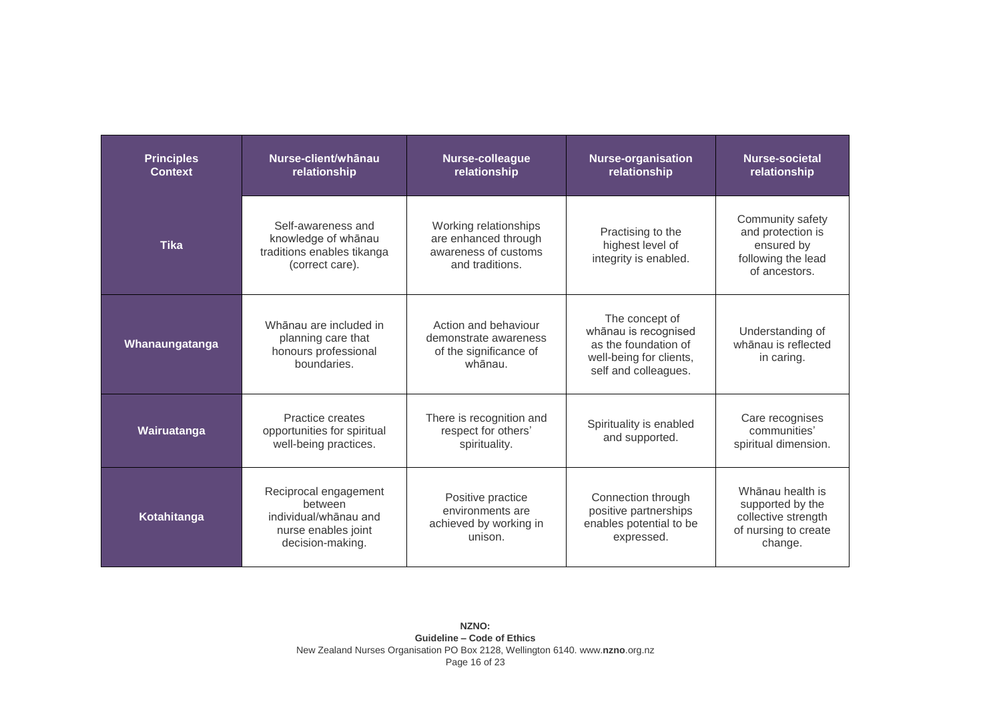| <b>Principles</b><br><b>Context</b> | Nurse-client/whānau<br>relationship                                                                  | <b>Nurse-colleague</b><br>relationship                                                   | <b>Nurse-organisation</b><br>relationship                                                                         | Nurse-societal<br>relationship                                                                 |
|-------------------------------------|------------------------------------------------------------------------------------------------------|------------------------------------------------------------------------------------------|-------------------------------------------------------------------------------------------------------------------|------------------------------------------------------------------------------------------------|
| <b>Tika</b>                         | Self-awareness and<br>knowledge of whānau<br>traditions enables tikanga<br>(correct care).           | Working relationships<br>are enhanced through<br>awareness of customs<br>and traditions. | Practising to the<br>highest level of<br>integrity is enabled.                                                    | Community safety<br>and protection is<br>ensured by<br>following the lead<br>of ancestors.     |
| Whanaungatanga                      | Whānau are included in<br>planning care that<br>honours professional<br>boundaries.                  | Action and behaviour<br>demonstrate awareness<br>of the significance of<br>whānau.       | The concept of<br>whānau is recognised<br>as the foundation of<br>well-being for clients,<br>self and colleagues. | Understanding of<br>whānau is reflected<br>in caring.                                          |
| Wairuatanga                         | Practice creates<br>opportunities for spiritual<br>well-being practices.                             | There is recognition and<br>respect for others'<br>spirituality.                         | Spirituality is enabled<br>and supported.                                                                         | Care recognises<br>communities'<br>spiritual dimension.                                        |
| Kotahitanga                         | Reciprocal engagement<br>between<br>individual/whanau and<br>nurse enables joint<br>decision-making. | Positive practice<br>environments are<br>achieved by working in<br>unison.               | Connection through<br>positive partnerships<br>enables potential to be<br>expressed.                              | Whānau health is<br>supported by the<br>collective strength<br>of nursing to create<br>change. |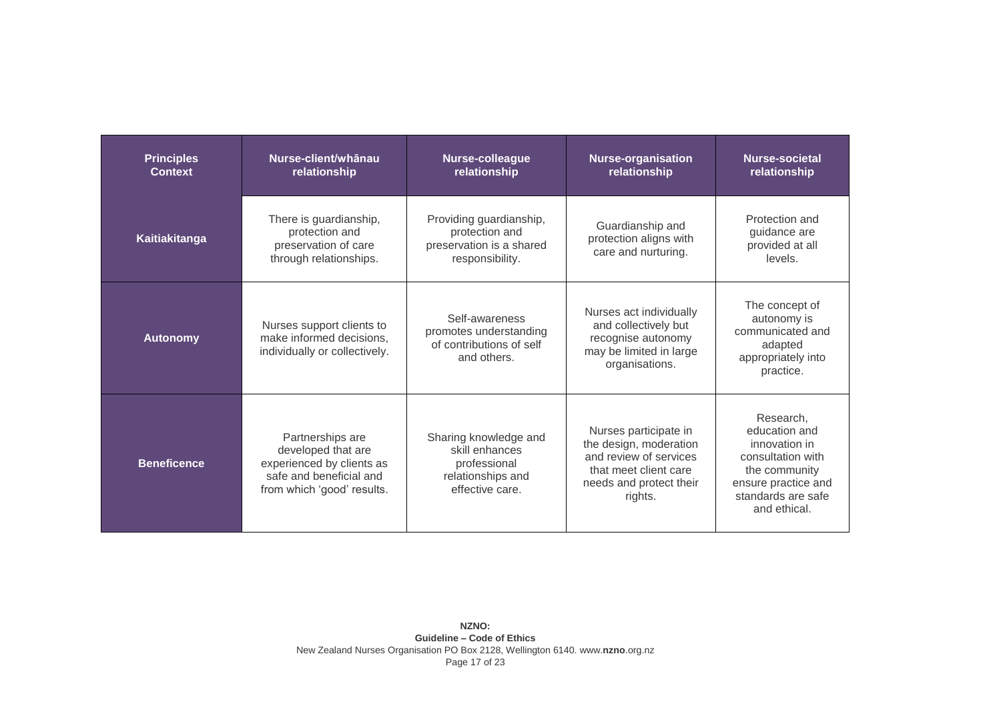| <b>Principles</b><br><b>Context</b> | Nurse-client/whānau<br>relationship                                                                                          | Nurse-colleague<br>relationship                                                                 | <b>Nurse-organisation</b><br>relationship                                                                                                | Nurse-societal<br>relationship                                                                                                                 |
|-------------------------------------|------------------------------------------------------------------------------------------------------------------------------|-------------------------------------------------------------------------------------------------|------------------------------------------------------------------------------------------------------------------------------------------|------------------------------------------------------------------------------------------------------------------------------------------------|
| Kaitiakitanga                       | There is guardianship,<br>protection and<br>preservation of care<br>through relationships.                                   | Providing guardianship,<br>protection and<br>preservation is a shared<br>responsibility.        | Guardianship and<br>protection aligns with<br>care and nurturing.                                                                        | Protection and<br>quidance are<br>provided at all<br>levels.                                                                                   |
| <b>Autonomy</b>                     | Nurses support clients to<br>make informed decisions.<br>individually or collectively.                                       | Self-awareness<br>promotes understanding<br>of contributions of self<br>and others.             | Nurses act individually<br>and collectively but<br>recognise autonomy<br>may be limited in large<br>organisations.                       | The concept of<br>autonomy is<br>communicated and<br>adapted<br>appropriately into<br>practice.                                                |
| <b>Beneficence</b>                  | Partnerships are<br>developed that are<br>experienced by clients as<br>safe and beneficial and<br>from which 'good' results. | Sharing knowledge and<br>skill enhances<br>professional<br>relationships and<br>effective care. | Nurses participate in<br>the design, moderation<br>and review of services<br>that meet client care<br>needs and protect their<br>rights. | Research,<br>education and<br>innovation in<br>consultation with<br>the community<br>ensure practice and<br>standards are safe<br>and ethical. |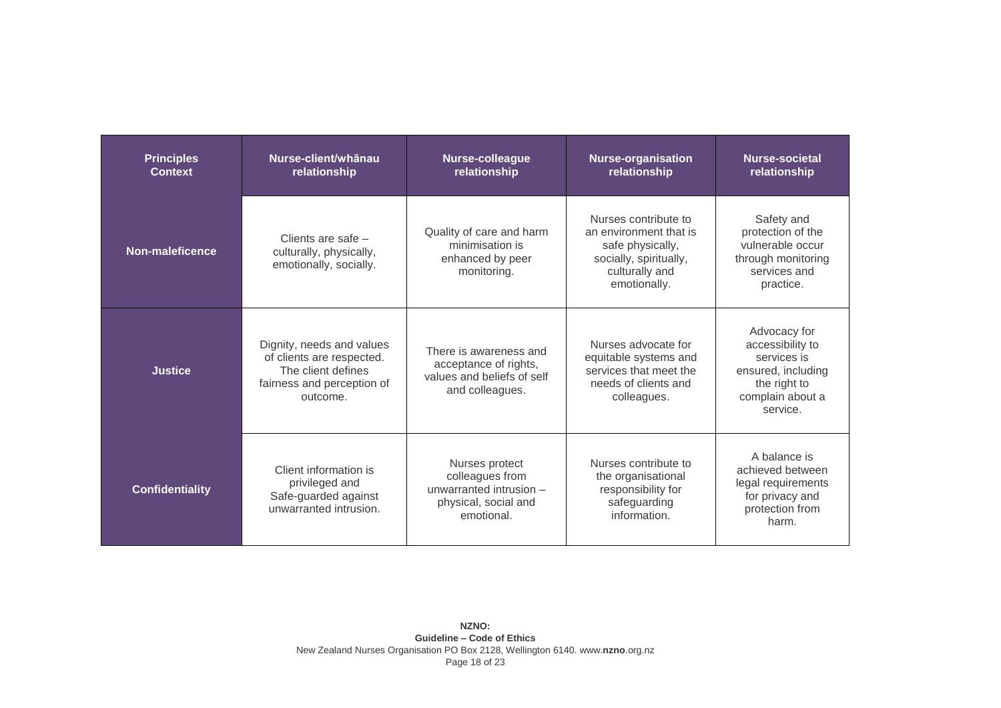| <b>Principles</b><br><b>Context</b> | Nurse-client/whānau<br>relationship                                                                                    | <b>Nurse-colleague</b><br>relationship                                                             | <b>Nurse-organisation</b><br>relationship                                                                                      | Nurse-societal<br>relationship                                                                                        |
|-------------------------------------|------------------------------------------------------------------------------------------------------------------------|----------------------------------------------------------------------------------------------------|--------------------------------------------------------------------------------------------------------------------------------|-----------------------------------------------------------------------------------------------------------------------|
| Non-maleficence                     | Clients are safe -<br>culturally, physically,<br>emotionally, socially.                                                | Quality of care and harm<br>minimisation is<br>enhanced by peer<br>monitoring.                     | Nurses contribute to<br>an environment that is<br>safe physically,<br>socially, spiritually,<br>culturally and<br>emotionally. | Safety and<br>protection of the<br>vulnerable occur<br>through monitoring<br>services and<br>practice.                |
| <b>Justice</b>                      | Dignity, needs and values<br>of clients are respected.<br>The client defines<br>fairness and perception of<br>outcome. | There is awareness and<br>acceptance of rights,<br>values and beliefs of self<br>and colleagues.   | Nurses advocate for<br>equitable systems and<br>services that meet the<br>needs of clients and<br>colleagues.                  | Advocacy for<br>accessibility to<br>services is<br>ensured, including<br>the right to<br>complain about a<br>service. |
| <b>Confidentiality</b>              | Client information is<br>privileged and<br>Safe-guarded against<br>unwarranted intrusion.                              | Nurses protect<br>colleagues from<br>unwarranted intrusion -<br>physical, social and<br>emotional. | Nurses contribute to<br>the organisational<br>responsibility for<br>safeguarding<br>information.                               | A balance is<br>achieved between<br>legal requirements<br>for privacy and<br>protection from<br>harm.                 |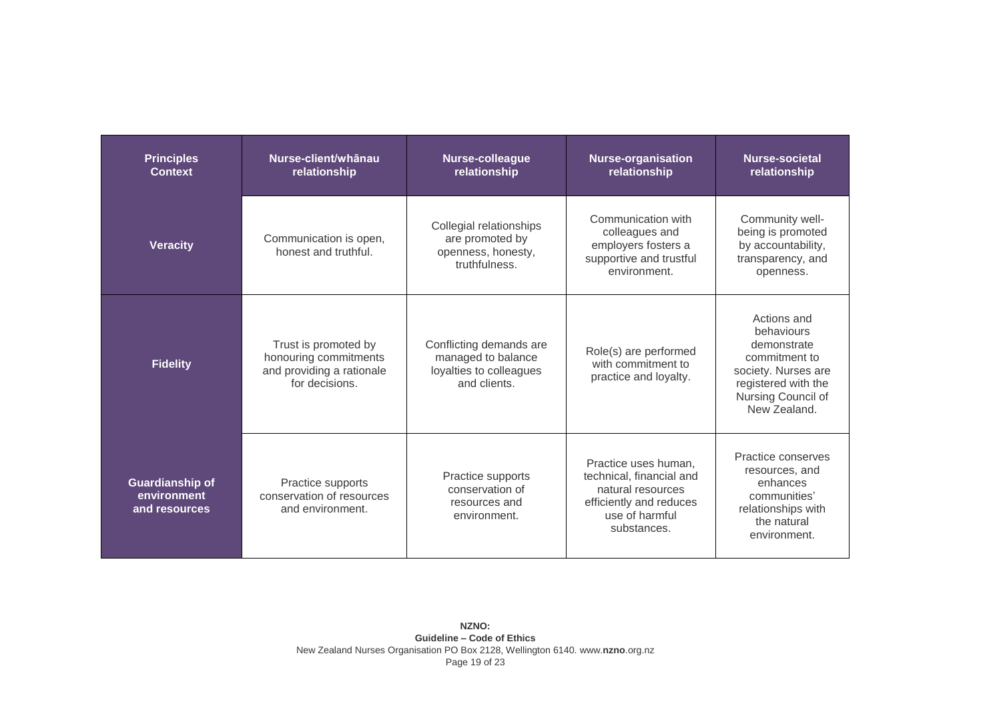| <b>Principles</b><br><b>Context</b>                    | Nurse-client/whanau<br>relationship                                                          | <b>Nurse-colleague</b><br>relationship                                                   | <b>Nurse-organisation</b><br>relationship                                                                                         | Nurse-societal<br>relationship                                                                                                                |
|--------------------------------------------------------|----------------------------------------------------------------------------------------------|------------------------------------------------------------------------------------------|-----------------------------------------------------------------------------------------------------------------------------------|-----------------------------------------------------------------------------------------------------------------------------------------------|
| <b>Veracity</b>                                        | Communication is open,<br>honest and truthful.                                               | Collegial relationships<br>are promoted by<br>openness, honesty,<br>truthfulness.        | Communication with<br>colleagues and<br>employers fosters a<br>supportive and trustful<br>environment.                            | Community well-<br>being is promoted<br>by accountability,<br>transparency, and<br>openness.                                                  |
| <b>Fidelity</b>                                        | Trust is promoted by<br>honouring commitments<br>and providing a rationale<br>for decisions. | Conflicting demands are<br>managed to balance<br>loyalties to colleagues<br>and clients. | Role(s) are performed<br>with commitment to<br>practice and loyalty.                                                              | Actions and<br>behaviours<br>demonstrate<br>commitment to<br>society. Nurses are<br>registered with the<br>Nursing Council of<br>New Zealand. |
| <b>Guardianship of</b><br>environment<br>and resources | Practice supports<br>conservation of resources<br>and environment.                           | Practice supports<br>conservation of<br>resources and<br>environment.                    | Practice uses human.<br>technical, financial and<br>natural resources<br>efficiently and reduces<br>use of harmful<br>substances. | Practice conserves<br>resources, and<br>enhances<br>communities'<br>relationships with<br>the natural<br>environment.                         |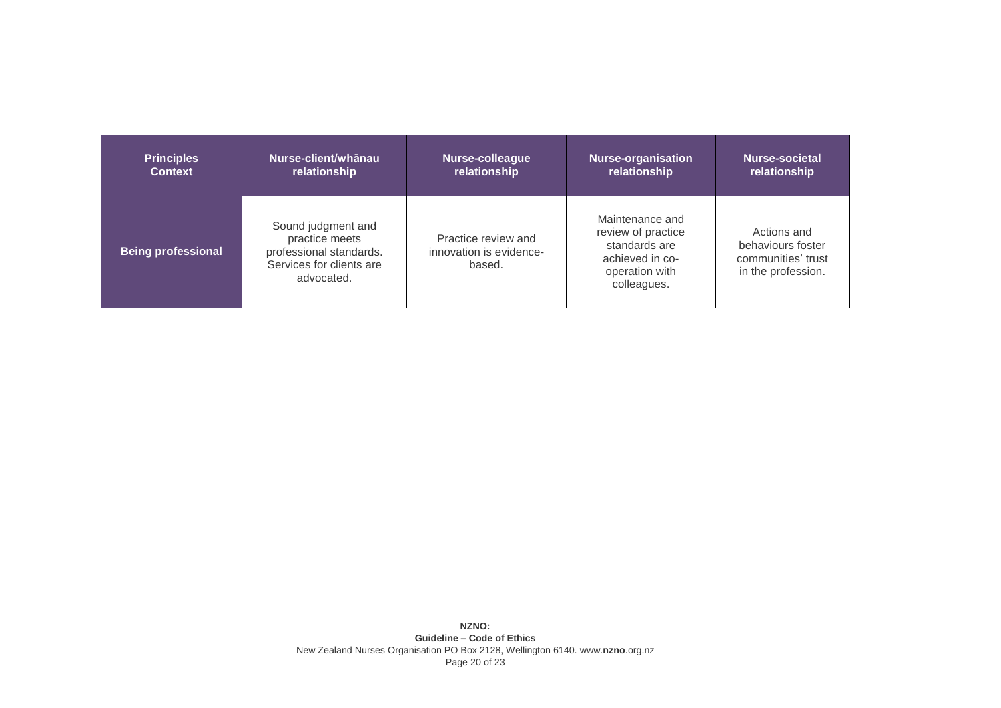| <b>Principles</b>         | Nurse-client/whānau                                                                                       | Nurse-colleague                                          | <b>Nurse-organisation</b>                                                                                  | Nurse-societal                                                               |
|---------------------------|-----------------------------------------------------------------------------------------------------------|----------------------------------------------------------|------------------------------------------------------------------------------------------------------------|------------------------------------------------------------------------------|
| <b>Context</b>            | relationship                                                                                              | relationship                                             | relationship                                                                                               | relationship                                                                 |
| <b>Being professional</b> | Sound judgment and<br>practice meets<br>professional standards.<br>Services for clients are<br>advocated. | Practice review and<br>innovation is evidence-<br>based. | Maintenance and<br>review of practice<br>standards are<br>achieved in co-<br>operation with<br>colleagues. | Actions and<br>behaviours foster<br>communities' trust<br>in the profession. |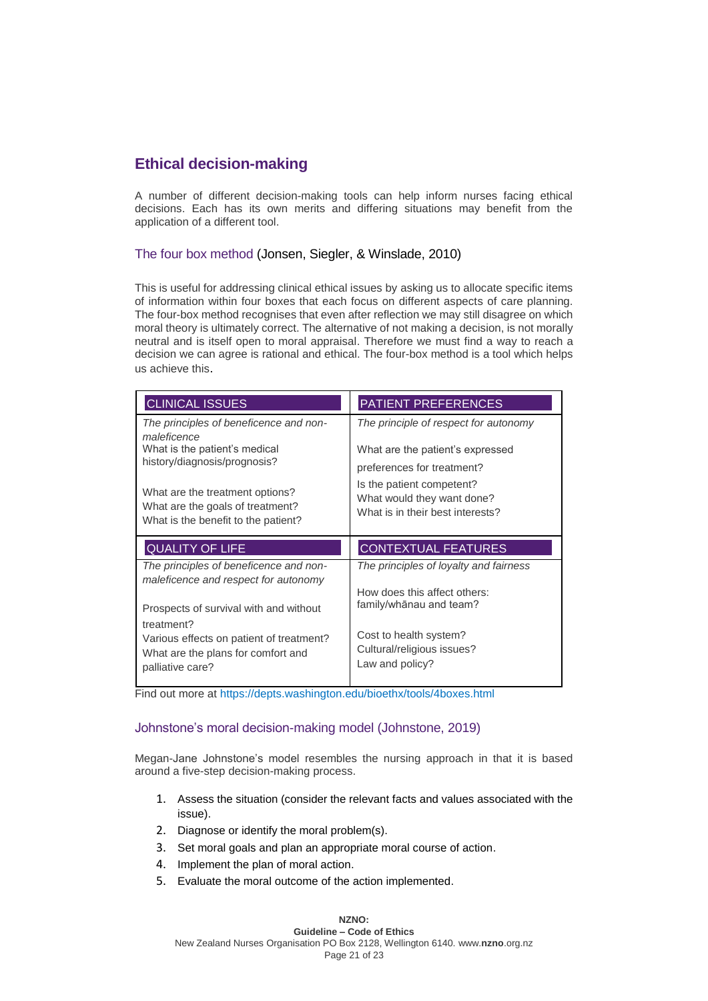## **Ethical decision-making**

A number of different decision-making tools can help inform nurses facing ethical decisions. Each has its own merits and differing situations may benefit from the application of a different tool.

## The four box method (Jonsen, Siegler, & Winslade, 2010)

This is useful for addressing clinical ethical issues by asking us to allocate specific items of information within four boxes that each focus on different aspects of care planning. The four-box method recognises that even after reflection we may still disagree on which moral theory is ultimately correct. The alternative of not making a decision, is not morally neutral and is itself open to moral appraisal. Therefore we must find a way to reach a decision we can agree is rational and ethical. The four-box method is a tool which helps us achieve this.

| <b>CLINICAL ISSUES</b>                                                                                                                                                                                                               | <b>PATIENT PREFERENCES</b>                                                                                                                                                                             |
|--------------------------------------------------------------------------------------------------------------------------------------------------------------------------------------------------------------------------------------|--------------------------------------------------------------------------------------------------------------------------------------------------------------------------------------------------------|
| The principles of beneficence and non-<br>maleficence<br>What is the patient's medical<br>history/diagnosis/prognosis?<br>What are the treatment options?<br>What are the goals of treatment?<br>What is the benefit to the patient? | The principle of respect for autonomy<br>What are the patient's expressed<br>preferences for treatment?<br>Is the patient competent?<br>What would they want done?<br>What is in their best interests? |
|                                                                                                                                                                                                                                      |                                                                                                                                                                                                        |
| <b>QUALITY OF LIFE</b>                                                                                                                                                                                                               | <b>CONTEXTUAL FEATURES</b>                                                                                                                                                                             |
| The principles of beneficence and non-<br>maleficence and respect for autonomy<br>Prospects of survival with and without<br>treatment?                                                                                               | The principles of loyalty and fairness<br>How does this affect others:<br>family/whānau and team?<br>Cost to health system?                                                                            |

Find out more at <https://depts.washington.edu/bioethx/tools/4boxes.html>

## Johnstone's moral decision-making model (Johnstone, 2019)

Megan-Jane Johnstone's model resembles the nursing approach in that it is based around a five-step decision-making process.

- 1. Assess the situation (consider the relevant facts and values associated with the issue).
- 2. Diagnose or identify the moral problem(s).
- 3. Set moral goals and plan an appropriate moral course of action.
- 4. Implement the plan of moral action.
- 5. Evaluate the moral outcome of the action implemented.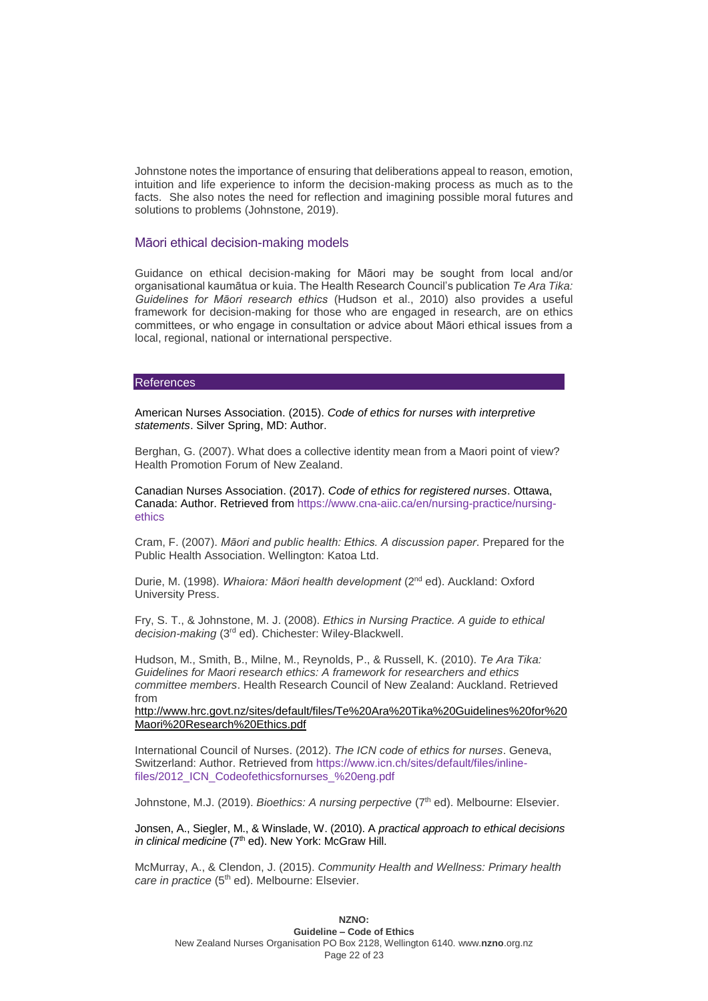Johnstone notes the importance of ensuring that deliberations appeal to reason, emotion, intuition and life experience to inform the decision-making process as much as to the facts. She also notes the need for reflection and imagining possible moral futures and solutions to problems (Johnstone, 2019).

#### Māori ethical decision-making models

Guidance on ethical decision-making for Māori may be sought from local and/or organisational kaumātua or kuia. The Health Research Council's publication *Te Ara Tika: Guidelines for Māori research ethics* (Hudson et al., 2010) also provides a useful framework for decision-making for those who are engaged in research, are on ethics committees, or who engage in consultation or advice about Māori ethical issues from a local, regional, national or international perspective.

#### References

American Nurses Association. (2015). *Code of ethics for nurses with interpretive statements*. Silver Spring, MD: Author.

Berghan, G. (2007). What does a collective identity mean from a Maori point of view? Health Promotion Forum of New Zealand.

Canadian Nurses Association. (2017). *Code of ethics for registered nurses*. Ottawa, Canada: Author. Retrieved from [https://www.cna-aiic.ca/en/nursing-practice/nursing](https://www.cna-aiic.ca/en/nursing-practice/nursing-ethics)[ethics](https://www.cna-aiic.ca/en/nursing-practice/nursing-ethics) 

Cram, F. (2007). *Māori and public health: Ethics. A discussion paper*. Prepared for the Public Health Association. Wellington: Katoa Ltd.

Durie, M. (1998). Whaiora: Māori health development (2<sup>nd</sup> ed). Auckland: Oxford University Press.

Fry, S. T., & Johnstone, M. J. (2008). *Ethics in Nursing Practice. A guide to ethical*  decision-making (3<sup>rd</sup> ed). Chichester: Wiley-Blackwell.

Hudson, M., Smith, B., Milne, M., Reynolds, P., & Russell, K. (2010). *Te Ara Tika: Guidelines for Maori research ethics: A framework for researchers and ethics committee members*. Health Research Council of New Zealand: Auckland. Retrieved from

[http://www.hrc.govt.nz/sites/default/files/Te%20Ara%20Tika%20Guidelines%20for%20](http://www.hrc.govt.nz/sites/default/files/Te%20Ara%20Tika%20Guidelines%20for%20Maori%20Research%20Ethics.pdf) [Maori%20Research%20Ethics.pdf](http://www.hrc.govt.nz/sites/default/files/Te%20Ara%20Tika%20Guidelines%20for%20Maori%20Research%20Ethics.pdf)

International Council of Nurses. (2012). *The ICN code of ethics for nurses*. Geneva, Switzerland: Author. [Retrieved from https://www.icn.ch/sites/default/files/inline](file://///nzno.local/User%20Data/Home/sueg/Code%20of%20ethics%20revision/Retrieved%20from%20https:/www.icn.ch/sites/default/files/inline-files/2012_ICN_Codeofethicsfornurses_%20eng.pdf)[files/2012\\_ICN\\_Codeofethicsfornurses\\_%20eng.pdf](file://///nzno.local/User%20Data/Home/sueg/Code%20of%20ethics%20revision/Retrieved%20from%20https:/www.icn.ch/sites/default/files/inline-files/2012_ICN_Codeofethicsfornurses_%20eng.pdf)

Johnstone, M.J. (2019). *Bioethics: A nursing perpective* (7<sup>th</sup> ed). Melbourne: Elsevier.

Jonsen, A., Siegler, M., & Winslade, W. (2010). A *practical approach to ethical decisions*  in clinical medicine (7<sup>th</sup> ed). New York: McGraw Hill.

McMurray, A., & Clendon, J. (2015). *Community Health and Wellness: Primary health*  care in practice (5<sup>th</sup> ed). Melbourne: Elsevier.